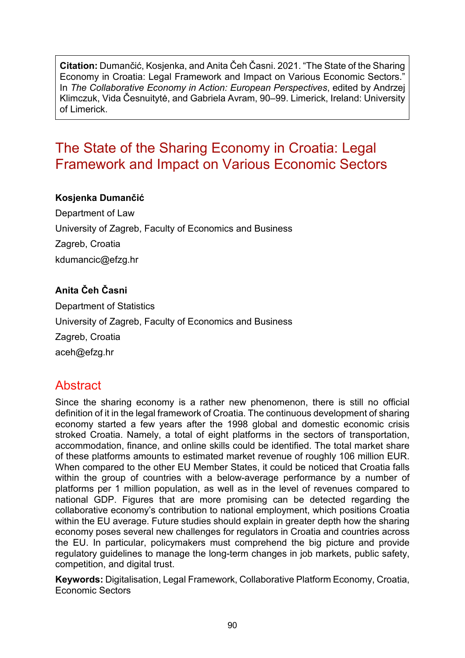**Citation:** Dumančić, Kosjenka, and Anita Čeh Časni. 2021. "The State of the Sharing Economy in Croatia: Legal Framework and Impact on Various Economic Sectors." In *The Collaborative Economy in Action: European Perspectives*, edited by Andrzej Klimczuk, Vida Česnuitytė, and Gabriela Avram, 90–99. Limerick, Ireland: University of Limerick.

# The State of the Sharing Economy in Croatia: Legal Framework and Impact on Various Economic Sectors

#### **Kosjenka Dumančić**

Department of Law University of Zagreb, Faculty of Economics and Business Zagreb, Croatia kdumancic@efzg.hr

### **Anita Čeh Časni**

Department of Statistics University of Zagreb, Faculty of Economics and Business Zagreb, Croatia aceh@efzg.hr

## **Abstract**

Since the sharing economy is a rather new phenomenon, there is still no official definition of it in the legal framework of Croatia. The continuous development of sharing economy started a few years after the 1998 global and domestic economic crisis stroked Croatia. Namely, a total of eight platforms in the sectors of transportation, accommodation, finance, and online skills could be identified. The total market share of these platforms amounts to estimated market revenue of roughly 106 million EUR. When compared to the other EU Member States, it could be noticed that Croatia falls within the group of countries with a below-average performance by a number of platforms per 1 million population, as well as in the level of revenues compared to national GDP. Figures that are more promising can be detected regarding the collaborative economy's contribution to national employment, which positions Croatia within the EU average. Future studies should explain in greater depth how the sharing economy poses several new challenges for regulators in Croatia and countries across the EU. In particular, policymakers must comprehend the big picture and provide regulatory guidelines to manage the long-term changes in job markets, public safety, competition, and digital trust.

**Keywords:** Digitalisation, Legal Framework, Collaborative Platform Economy, Croatia, Economic Sectors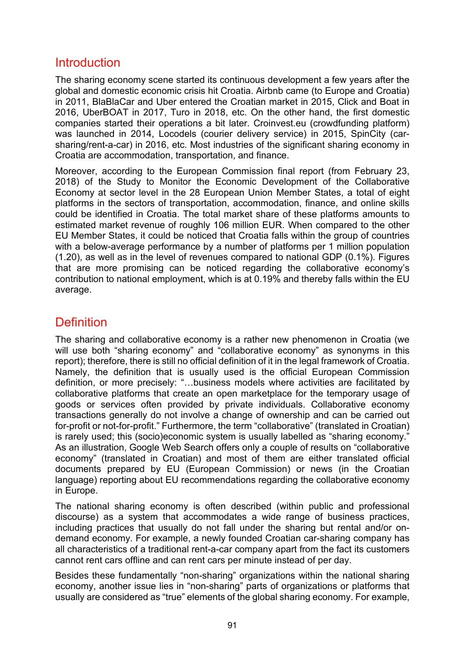## Introduction

The sharing economy scene started its continuous development a few years after the global and domestic economic crisis hit Croatia. Airbnb came (to Europe and Croatia) in 2011, BlaBlaCar and Uber entered the Croatian market in 2015, Click and Boat in 2016, UberBOAT in 2017, Turo in 2018, etc. On the other hand, the first domestic companies started their operations a bit later. Croinvest.eu (crowdfunding platform) was launched in 2014, Locodels (courier delivery service) in 2015, SpinCity (carsharing/rent-a-car) in 2016, etc. Most industries of the significant sharing economy in Croatia are accommodation, transportation, and finance.

Moreover, according to the European Commission final report (from February 23, 2018) of the Study to Monitor the Economic Development of the Collaborative Economy at sector level in the 28 European Union Member States, a total of eight platforms in the sectors of transportation, accommodation, finance, and online skills could be identified in Croatia. The total market share of these platforms amounts to estimated market revenue of roughly 106 million EUR. When compared to the other EU Member States, it could be noticed that Croatia falls within the group of countries with a below-average performance by a number of platforms per 1 million population (1.20), as well as in the level of revenues compared to national GDP (0.1%). Figures that are more promising can be noticed regarding the collaborative economy's contribution to national employment, which is at 0.19% and thereby falls within the EU average.

## **Definition**

The sharing and collaborative economy is a rather new phenomenon in Croatia (we will use both "sharing economy" and "collaborative economy" as synonyms in this report); therefore, there is still no official definition of it in the legal framework of Croatia. Namely, the definition that is usually used is the official European Commission definition, or more precisely: "…business models where activities are facilitated by collaborative platforms that create an open marketplace for the temporary usage of goods or services often provided by private individuals. Collaborative economy transactions generally do not involve a change of ownership and can be carried out for-profit or not-for-profit." Furthermore, the term "collaborative" (translated in Croatian) is rarely used; this (socio)economic system is usually labelled as "sharing economy." As an illustration, Google Web Search offers only a couple of results on "collaborative economy" (translated in Croatian) and most of them are either translated official documents prepared by EU (European Commission) or news (in the Croatian language) reporting about EU recommendations regarding the collaborative economy in Europe.

The national sharing economy is often described (within public and professional discourse) as a system that accommodates a wide range of business practices, including practices that usually do not fall under the sharing but rental and/or ondemand economy. For example, a newly founded Croatian car-sharing company has all characteristics of a traditional rent-a-car company apart from the fact its customers cannot rent cars offline and can rent cars per minute instead of per day.

Besides these fundamentally "non-sharing" organizations within the national sharing economy, another issue lies in "non-sharing" parts of organizations or platforms that usually are considered as "true" elements of the global sharing economy. For example,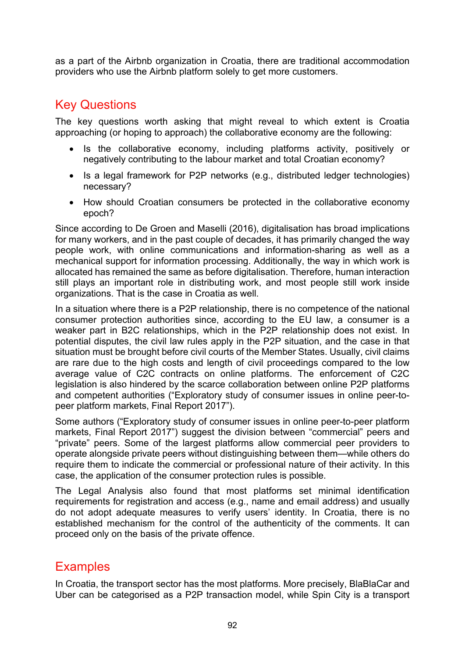as a part of the Airbnb organization in Croatia, there are traditional accommodation providers who use the Airbnb platform solely to get more customers.

## Key Questions

The key questions worth asking that might reveal to which extent is Croatia approaching (or hoping to approach) the collaborative economy are the following:

- Is the collaborative economy, including platforms activity, positively or negatively contributing to the labour market and total Croatian economy?
- Is a legal framework for P2P networks (e.g., distributed ledger technologies) necessary?
- How should Croatian consumers be protected in the collaborative economy epoch?

Since according to De Groen and Maselli (2016), digitalisation has broad implications for many workers, and in the past couple of decades, it has primarily changed the way people work, with online communications and information-sharing as well as a mechanical support for information processing. Additionally, the way in which work is allocated has remained the same as before digitalisation. Therefore, human interaction still plays an important role in distributing work, and most people still work inside organizations. That is the case in Croatia as well.

In a situation where there is a P2P relationship, there is no competence of the national consumer protection authorities since, according to the EU law, a consumer is a weaker part in B2C relationships, which in the P2P relationship does not exist. In potential disputes, the civil law rules apply in the P2P situation, and the case in that situation must be brought before civil courts of the Member States. Usually, civil claims are rare due to the high costs and length of civil proceedings compared to the low average value of C2C contracts on online platforms. The enforcement of C2C legislation is also hindered by the scarce collaboration between online P2P platforms and competent authorities ("Exploratory study of consumer issues in online peer-topeer platform markets, Final Report 2017").

Some authors ("Exploratory study of consumer issues in online peer-to-peer platform markets, Final Report 2017") suggest the division between "commercial" peers and "private" peers. Some of the largest platforms allow commercial peer providers to operate alongside private peers without distinguishing between them—while others do require them to indicate the commercial or professional nature of their activity. In this case, the application of the consumer protection rules is possible.

The Legal Analysis also found that most platforms set minimal identification requirements for registration and access (e.g., name and email address) and usually do not adopt adequate measures to verify users' identity. In Croatia, there is no established mechanism for the control of the authenticity of the comments. It can proceed only on the basis of the private offence.

### **Examples**

In Croatia, the transport sector has the most platforms. More precisely, BlaBlaCar and Uber can be categorised as a P2P transaction model, while Spin City is a transport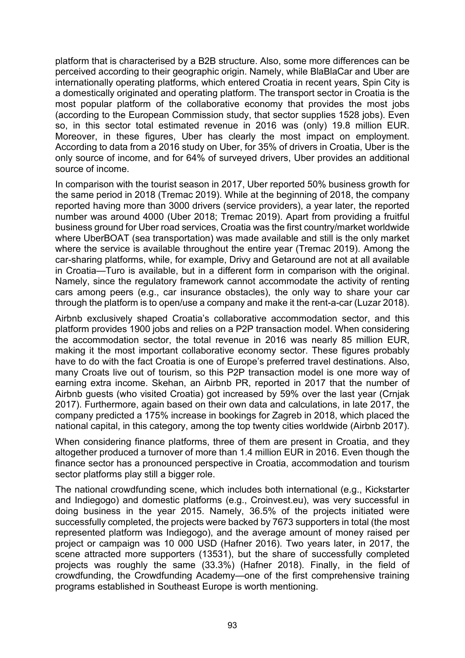platform that is characterised by a B2B structure. Also, some more differences can be perceived according to their geographic origin. Namely, while BlaBlaCar and Uber are internationally operating platforms, which entered Croatia in recent years, Spin City is a domestically originated and operating platform. The transport sector in Croatia is the most popular platform of the collaborative economy that provides the most jobs (according to the European Commission study, that sector supplies 1528 jobs). Even so, in this sector total estimated revenue in 2016 was (only) 19.8 million EUR. Moreover, in these figures, Uber has clearly the most impact on employment. According to data from a 2016 study on Uber, for 35% of drivers in Croatia, Uber is the only source of income, and for 64% of surveyed drivers, Uber provides an additional source of income.

In comparison with the tourist season in 2017, Uber reported 50% business growth for the same period in 2018 (Tremac 2019). While at the beginning of 2018, the company reported having more than 3000 drivers (service providers), a year later, the reported number was around 4000 (Uber 2018; Tremac 2019). Apart from providing a fruitful business ground for Uber road services, Croatia was the first country/market worldwide where UberBOAT (sea transportation) was made available and still is the only market where the service is available throughout the entire year (Tremac 2019). Among the car-sharing platforms, while, for example, Drivy and Getaround are not at all available in Croatia—Turo is available, but in a different form in comparison with the original. Namely, since the regulatory framework cannot accommodate the activity of renting cars among peers (e.g., car insurance obstacles), the only way to share your car through the platform is to open/use a company and make it the rent-a-car (Luzar 2018).

Airbnb exclusively shaped Croatia's collaborative accommodation sector, and this platform provides 1900 jobs and relies on a P2P transaction model. When considering the accommodation sector, the total revenue in 2016 was nearly 85 million EUR, making it the most important collaborative economy sector. These figures probably have to do with the fact Croatia is one of Europe's preferred travel destinations. Also, many Croats live out of tourism, so this P2P transaction model is one more way of earning extra income. Skehan, an Airbnb PR, reported in 2017 that the number of Airbnb guests (who visited Croatia) got increased by 59% over the last year (Crnjak 2017). Furthermore, again based on their own data and calculations, in late 2017, the company predicted a 175% increase in bookings for Zagreb in 2018, which placed the national capital, in this category, among the top twenty cities worldwide (Airbnb 2017).

When considering finance platforms, three of them are present in Croatia, and they altogether produced a turnover of more than 1.4 million EUR in 2016. Even though the finance sector has a pronounced perspective in Croatia, accommodation and tourism sector platforms play still a bigger role.

The national crowdfunding scene, which includes both international (e.g., Kickstarter and Indiegogo) and domestic platforms (e.g., Croinvest.eu), was very successful in doing business in the year 2015. Namely, 36.5% of the projects initiated were successfully completed, the projects were backed by 7673 supporters in total (the most represented platform was Indiegogo), and the average amount of money raised per project or campaign was 10 000 USD (Hafner 2016). Two years later, in 2017, the scene attracted more supporters (13531), but the share of successfully completed projects was roughly the same (33.3%) (Hafner 2018). Finally, in the field of crowdfunding, the Crowdfunding Academy—one of the first comprehensive training programs established in Southeast Europe is worth mentioning.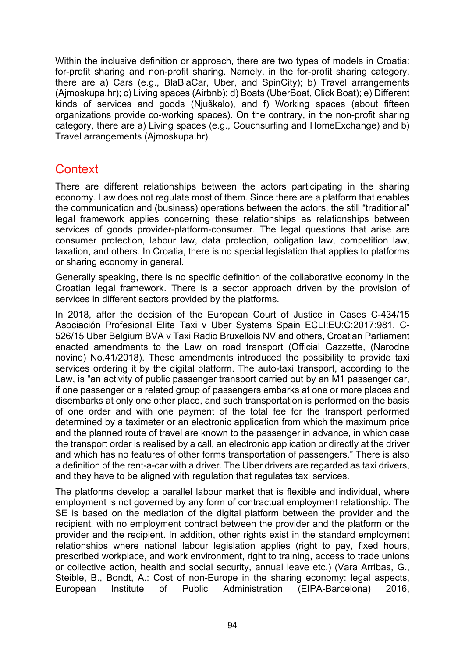Within the inclusive definition or approach, there are two types of models in Croatia: for-profit sharing and non-profit sharing. Namely, in the for-profit sharing category, there are a) Cars (e.g., BlaBlaCar, Uber, and SpinCity); b) Travel arrangements (Ajmoskupa.hr); c) Living spaces (Airbnb); d) Boats (UberBoat, Click Boat); e) Different kinds of services and goods (Njuškalo), and f) Working spaces (about fifteen organizations provide co-working spaces). On the contrary, in the non-profit sharing category, there are a) Living spaces (e.g., Couchsurfing and HomeExchange) and b) Travel arrangements (Ajmoskupa.hr).

## **Context**

There are different relationships between the actors participating in the sharing economy. Law does not regulate most of them. Since there are a platform that enables the communication and (business) operations between the actors, the still "traditional" legal framework applies concerning these relationships as relationships between services of goods provider-platform-consumer. The legal questions that arise are consumer protection, labour law, data protection, obligation law, competition law, taxation, and others. In Croatia, there is no special legislation that applies to platforms or sharing economy in general.

Generally speaking, there is no specific definition of the collaborative economy in the Croatian legal framework. There is a sector approach driven by the provision of services in different sectors provided by the platforms.

In 2018, after the decision of the European Court of Justice in Cases C-434/15 Asociación Profesional Elite Taxi v Uber Systems Spain ECLI:EU:C:2017:981, C-526/15 Uber Belgium BVA v Taxi Radio Bruxellois NV and others, Croatian Parliament enacted amendments to the Law on road transport (Official Gazzette, (Narodne novine) No.41/2018). These amendments introduced the possibility to provide taxi services ordering it by the digital platform. The auto-taxi transport, according to the Law, is "an activity of public passenger transport carried out by an M1 passenger car, if one passenger or a related group of passengers embarks at one or more places and disembarks at only one other place, and such transportation is performed on the basis of one order and with one payment of the total fee for the transport performed determined by a taximeter or an electronic application from which the maximum price and the planned route of travel are known to the passenger in advance, in which case the transport order is realised by a call, an electronic application or directly at the driver and which has no features of other forms transportation of passengers." There is also a definition of the rent-a-car with a driver. The Uber drivers are regarded as taxi drivers, and they have to be aligned with regulation that regulates taxi services.

The platforms develop a parallel labour market that is flexible and individual, where employment is not governed by any form of contractual employment relationship. The SE is based on the mediation of the digital platform between the provider and the recipient, with no employment contract between the provider and the platform or the provider and the recipient. In addition, other rights exist in the standard employment relationships where national labour legislation applies (right to pay, fixed hours, prescribed workplace, and work environment, right to training, access to trade unions or collective action, health and social security, annual leave etc.) (Vara Arribas, G., Steible, B., Bondt, A.: Cost of non-Europe in the sharing economy: legal aspects, European Institute of Public Administration (EIPA-Barcelona) 2016,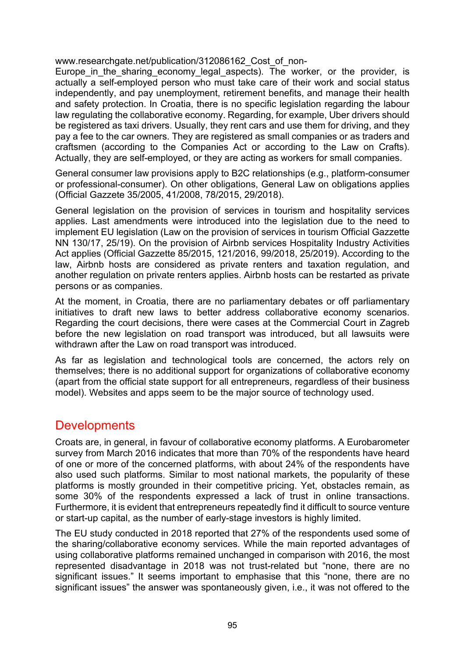www.researchgate.net/publication/312086162 Cost\_of\_non-

Europe in the sharing economy legal aspects). The worker, or the provider, is actually a self-employed person who must take care of their work and social status independently, and pay unemployment, retirement benefits, and manage their health and safety protection. In Croatia, there is no specific legislation regarding the labour law regulating the collaborative economy. Regarding, for example, Uber drivers should be registered as taxi drivers. Usually, they rent cars and use them for driving, and they pay a fee to the car owners. They are registered as small companies or as traders and craftsmen (according to the Companies Act or according to the Law on Crafts). Actually, they are self-employed, or they are acting as workers for small companies.

General consumer law provisions apply to B2C relationships (e.g., platform-consumer or professional-consumer). On other obligations, General Law on obligations applies (Official Gazzete 35/2005, 41/2008, 78/2015, 29/2018).

General legislation on the provision of services in tourism and hospitality services applies. Last amendments were introduced into the legislation due to the need to implement EU legislation (Law on the provision of services in tourism Official Gazzette NN 130/17, 25/19). On the provision of Airbnb services Hospitality Industry Activities Act applies (Official Gazzette 85/2015, 121/2016, 99/2018, 25/2019). According to the law, Airbnb hosts are considered as private renters and taxation regulation, and another regulation on private renters applies. Airbnb hosts can be restarted as private persons or as companies.

At the moment, in Croatia, there are no parliamentary debates or off parliamentary initiatives to draft new laws to better address collaborative economy scenarios. Regarding the court decisions, there were cases at the Commercial Court in Zagreb before the new legislation on road transport was introduced, but all lawsuits were withdrawn after the Law on road transport was introduced.

As far as legislation and technological tools are concerned, the actors rely on themselves; there is no additional support for organizations of collaborative economy (apart from the official state support for all entrepreneurs, regardless of their business model). Websites and apps seem to be the major source of technology used.

### **Developments**

Croats are, in general, in favour of collaborative economy platforms. A Eurobarometer survey from March 2016 indicates that more than 70% of the respondents have heard of one or more of the concerned platforms, with about 24% of the respondents have also used such platforms. Similar to most national markets, the popularity of these platforms is mostly grounded in their competitive pricing. Yet, obstacles remain, as some 30% of the respondents expressed a lack of trust in online transactions. Furthermore, it is evident that entrepreneurs repeatedly find it difficult to source venture or start-up capital, as the number of early-stage investors is highly limited.

The EU study conducted in 2018 reported that 27% of the respondents used some of the sharing/collaborative economy services. While the main reported advantages of using collaborative platforms remained unchanged in comparison with 2016, the most represented disadvantage in 2018 was not trust-related but "none, there are no significant issues." It seems important to emphasise that this "none, there are no significant issues" the answer was spontaneously given, i.e., it was not offered to the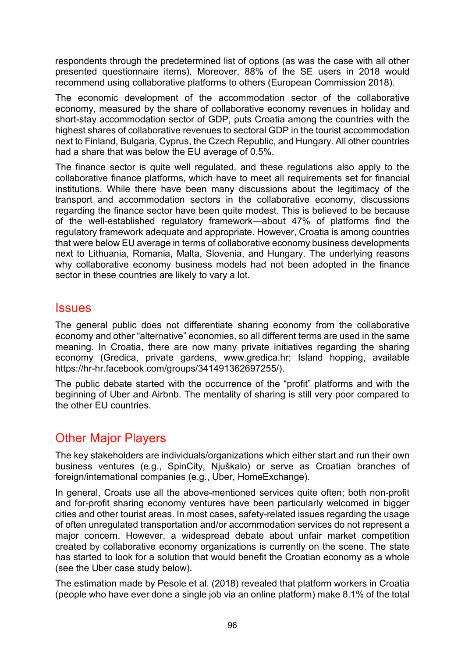respondents through the predetermined list of options (as was the case with all other presented questionnaire items). Moreover, 88% of the SE users in 2018 would recommend using collaborative platforms to others (European Commission 2018).

The economic development of the accommodation sector of the collaborative economy, measured by the share of collaborative economy revenues in holiday and short-stay accommodation sector of GDP, puts Croatia among the countries with the highest shares of collaborative revenues to sectoral GDP in the tourist accommodation next to Finland, Bulgaria, Cyprus, the Czech Republic, and Hungary. All other countries had a share that was below the EU average of 0.5%.

The finance sector is quite well regulated, and these regulations also apply to the collaborative finance platforms, which have to meet all requirements set for financial institutions. While there have been many discussions about the legitimacy of the transport and accommodation sectors in the collaborative economy, discussions regarding the finance sector have been quite modest. This is believed to be because of the well-established regulatory framework—about 47% of platforms find the regulatory framework adequate and appropriate. However, Croatia is among countries that were below EU average in terms of collaborative economy business developments next to Lithuania, Romania, Malta, Slovenia, and Hungary. The underlying reasons why collaborative economy business models had not been adopted in the finance sector in these countries are likely to vary a lot.

### **Issues**

The general public does not differentiate sharing economy from the collaborative economy and other "alternative" economies, so all different terms are used in the same meaning. In Croatia, there are now many private initiatives regarding the sharing economy (Gredica, private gardens, www.gredica.hr; Island hopping, available https://hr-[hr.facebook.com/groups/341491362697255/](https://hr-hr.facebook.com/groups/341491362697255/)).

The public debate started with the occurrence of the "profit" platforms and with the beginning of Uber and Airbnb. The mentality of sharing is still very poor compared to the other EU countries*.*

## Other Major Players

The key stakeholders are individuals/organizations which either start and run their own business ventures (e.g., SpinCity, Njuškalo) or serve as Croatian branches of foreign/international companies (e.g., Uber, HomeExchange).

In general, Croats use all the above-mentioned services quite often; both non-profit and for-profit sharing economy ventures have been particularly welcomed in bigger cities and other tourist areas. In most cases, safety-related issues regarding the usage of often unregulated transportation and/or accommodation services do not represent a major concern. However, a widespread debate about unfair market competition created by collaborative economy organizations is currently on the scene. The state has started to look for a solution that would benefit the Croatian economy as a whole (see the Uber case study below).

The estimation made by Pesole et al. (2018) revealed that platform workers in Croatia (people who have ever done a single job via an online platform) make 8.1% of the total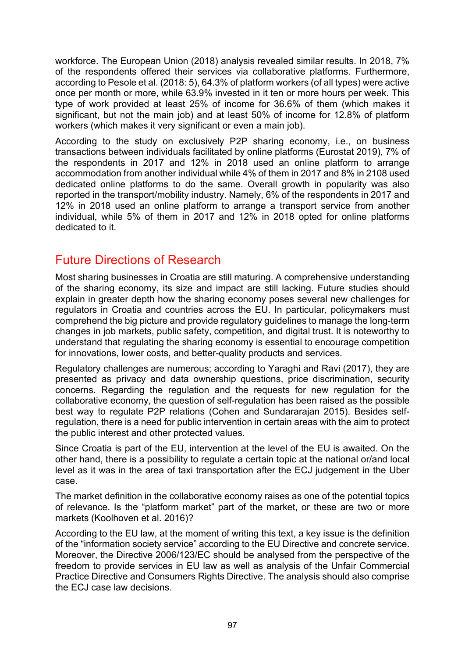workforce. The European Union (2018) analysis revealed similar results. In 2018, 7% of the respondents offered their services via collaborative platforms. Furthermore, according to Pesole et al. (2018: 5), 64.3% of platform workers (of all types) were active once per month or more, while 63.9% invested in it ten or more hours per week. This type of work provided at least 25% of income for 36.6% of them (which makes it significant, but not the main job) and at least 50% of income for 12.8% of platform workers (which makes it very significant or even a main job).

According to the study on exclusively P2P sharing economy, i.e., on business transactions between individuals facilitated by online platforms (Eurostat 2019), 7% of the respondents in 2017 and 12% in 2018 used an online platform to arrange accommodation from another individual while 4% of them in 2017 and 8% in 2108 used dedicated online platforms to do the same. Overall growth in popularity was also reported in the transport/mobility industry. Namely, 6% of the respondents in 2017 and 12% in 2018 used an online platform to arrange a transport service from another individual, while 5% of them in 2017 and 12% in 2018 opted for online platforms dedicated to it.

## Future Directions of Research

Most sharing businesses in Croatia are still maturing. A comprehensive understanding of the sharing economy, its size and impact are still lacking. Future studies should explain in greater depth how the sharing economy poses several new challenges for regulators in Croatia and countries across the EU. In particular, policymakers must comprehend the big picture and provide regulatory guidelines to manage the long-term changes in job markets, public safety, competition, and digital trust. It is noteworthy to understand that regulating the sharing economy is essential to encourage competition for innovations, lower costs, and better-quality products and services.

Regulatory challenges are numerous; according to Yaraghi and Ravi (2017), they are presented as privacy and data ownership questions, price discrimination, security concerns. Regarding the regulation and the requests for new regulation for the collaborative economy, the question of self-regulation has been raised as the possible best way to regulate P2P relations (Cohen and Sundararajan 2015). Besides selfregulation, there is a need for public intervention in certain areas with the aim to protect the public interest and other protected values.

Since Croatia is part of the EU, intervention at the level of the EU is awaited. On the other hand, there is a possibility to regulate a certain topic at the national or/and local level as it was in the area of taxi transportation after the ECJ judgement in the Uber case.

The market definition in the collaborative economy raises as one of the potential topics of relevance. Is the "platform market" part of the market, or these are two or more markets (Koolhoven et al. 2016)?

According to the EU law, at the moment of writing this text, a key issue is the definition of the "information society service" according to the EU Directive and concrete service. Moreover, the Directive 2006/123/EC should be analysed from the perspective of the freedom to provide services in EU law as well as analysis of the Unfair Commercial Practice Directive and Consumers Rights Directive. The analysis should also comprise the ECJ case law decisions.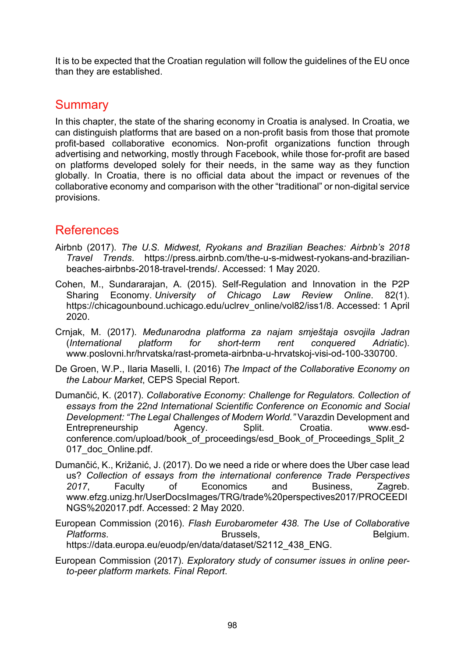It is to be expected that the Croatian regulation will follow the guidelines of the EU once than they are established.

## **Summary**

In this chapter, the state of the sharing economy in Croatia is analysed. In Croatia, we can distinguish platforms that are based on a non-profit basis from those that promote profit-based collaborative economics. Non-profit organizations function through advertising and networking, mostly through Facebook, while those for-profit are based on platforms developed solely for their needs, in the same way as they function globally. In Croatia, there is no official data about the impact or revenues of the collaborative economy and comparison with the other "traditional" or non-digital service provisions.

## References

- Airbnb (2017). *The U.S. Midwest, Ryokans and Brazilian Beaches: Airbnb's 2018 Travel Trends*. [https://press.airbnb.com/the](https://press.airbnb.com/the-u-s-midwest-ryokans-and-brazilian-beaches-airbnbs-2018-travel-trends/)-u-s-midwest-ryokans-and-brazilianbeaches-airbnbs[-2018-travel-trends/.](https://press.airbnb.com/the-u-s-midwest-ryokans-and-brazilian-beaches-airbnbs-2018-travel-trends/) Accessed: 1 May 2020.
- Cohen, M., Sundararajan, A. (2015). Self-Regulation and Innovation in the P2P Sharing Economy. *University of Chicago Law Review Online*. 82(1). [https://chicagounbound.uchicago.edu/uclrev\\_online/vol82/iss1/8](https://chicagounbound.uchicago.edu/uclrev_online/vol82/iss1/8). Accessed: 1 April 2020.
- Crnjak, M. (2017). *Međunarodna platforma za najam smještaja osvojila Jadran* (*International platform for short-term rent conquered Adriatic*). [www.poslovni.hr/hrvatska/rast-prometa-](http://www.poslovni.hr/hrvatska/rast-prometa-airbnba-u-hrvatskoj-visi-od-100-330700)airbnba-u-hrvatskoj-visi-od-100-330700.
- De Groen, W.P., Ilaria Maselli, I. (2016) *The Impact of the Collaborative Economy on the Labour Market*, CEPS Special Report.
- Dumančić, K. (2017). *Collaborative Economy: Challenge for Regulators. Collection of essays from the 22nd International Scientific Conference on Economic and Social Development: "The Legal Challenges of Modern World."* Varazdin Development and Entrepreneurship Agency. Split. Croatia. [www.esd](http://www.esd-conference.com/upload/book_of_proceedings/esd_Book_of_Proceedings_Split_2017_doc_Online.pdf)conference.com/upload/book of proceedings/esd Book of Proceedings Split 2 017 doc Online.pdf.
- Dumančić, K., Križanić, J. (2017). Do we need a ride or where does the Uber case lead us? *Collection of essays from the international conference Trade Perspectives 2017*, Faculty of Economics and Business, Zagreb. [www.efzg.unizg.hr/UserDocsImages/TRG/trade%20perspectives2017/PROCEEDI](http://www.efzg.unizg.hr/UserDocsImages/TRG/trade%20perspectives2017/PROCEEDINGS%202017.pdf) [NGS%202017.pdf](http://www.efzg.unizg.hr/UserDocsImages/TRG/trade%20perspectives2017/PROCEEDINGS%202017.pdf). Accessed: 2 May 2020.

European Commission (2016). *Flash Eurobarometer 438. The Use of Collaborative*  **Platforms.** Brussels, Brussels, Brussels, Belgium. https://data.europa.eu/euodp/en/data/dataset/S2112\_438\_ENG.

European Commission (2017). *Exploratory study of consumer issues in online peerto-peer platform markets. Final Report*.